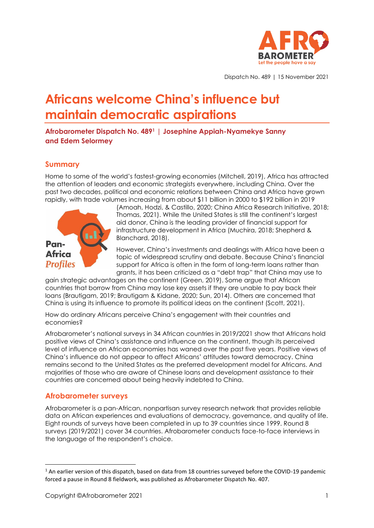

Dispatch No. 489 | 15 November 2021

# **Africans welcome China's influence but maintain democratic aspirations**

**Afrobarometer Dispatch No. 489<sup>1</sup> | Josephine Appiah-Nyamekye Sanny and Edem Selormey**

# **Summary**

Home to some of the world's fastest-growing economies (Mitchell, 2019), Africa has attracted the attention of leaders and economic strategists everywhere, including China. Over the past two decades, political and economic relations between China and Africa have grown rapidly, with trade volumes increasing from about \$11 billion in 2000 to \$192 billion in 2019



(Amoah, Hodzi, & Castillo, 2020; China Africa Research Initiative, 2018; Thomas, 2021). While the United States is still the continent's largest aid donor, China is the leading provider of financial support for infrastructure development in Africa (Muchira, 2018; Shepherd & Blanchard, 2018).

However, China's investments and dealings with Africa have been a topic of widespread scrutiny and debate. Because China's financial support for Africa is often in the form of long-term loans rather than grants, it has been criticized as a "debt trap" that China may use to

gain strategic advantages on the continent (Green, 2019). Some argue that African countries that borrow from China may lose key assets if they are unable to pay back their loans (Brautigam, 2019; Brautigam & Kidane, 2020; Sun, 2014). Others are concerned that China is using its influence to promote its political ideas on the continent (Scott, 2021).

How do ordinary Africans perceive China's engagement with their countries and economies?

Afrobarometer's national surveys in 34 African countries in 2019/2021 show that Africans hold positive views of China's assistance and influence on the continent, though its perceived level of influence on African economies has waned over the past five years. Positive views of China's influence do not appear to affect Africans' attitudes toward democracy. China remains second to the United States as the preferred development model for Africans. And majorities of those who are aware of Chinese loans and development assistance to their countries are concerned about being heavily indebted to China.

# **Afrobarometer surveys**

Afrobarometer is a pan-African, nonpartisan survey research network that provides reliable data on African experiences and evaluations of democracy, governance, and quality of life. Eight rounds of surveys have been completed in up to 39 countries since 1999. Round 8 surveys (2019/2021) cover 34 countries. Afrobarometer conducts face-to-face interviews in the language of the respondent's choice.

 $1$  An earlier version of this dispatch, based on data from 18 countries surveved before the COVID-19 pandemic forced a pause in Round 8 fieldwork, was published as Afrobarometer Dispatch No. 407.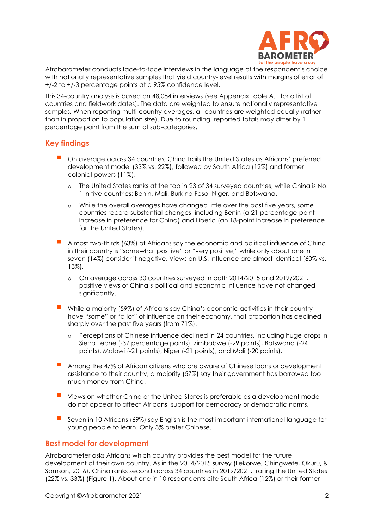

Afrobarometer conducts face-to-face interviews in the language of the respondent's choice with nationally representative samples that yield country-level results with margins of error of +/-2 to +/-3 percentage points at a 95% confidence level.

This 34-country analysis is based on 48,084 interviews (see Appendix Table A.1 for a list of countries and fieldwork dates). The data are weighted to ensure nationally representative samples. When reporting multi-country averages, all countries are weighted equally (rather than in proportion to population size). Due to rounding, reported totals may differ by 1 percentage point from the sum of sub-categories.

# **Key findings**

- On average across 34 countries, China trails the United States as Africans' preferred development model (33% vs. 22%), followed by South Africa (12%) and former colonial powers (11%).
	- o The United States ranks at the top in 23 of 34 surveyed countries, while China is No. 1 in five countries: Benin, Mali, Burkina Faso, Niger, and Botswana.
	- o While the overall averages have changed little over the past five years, some countries record substantial changes, including Benin (a 21-percentage-point increase in preference for China) and Liberia (an 18-point increase in preference for the United States).
- Almost two-thirds (63%) of Africans say the economic and political influence of China in their country is "somewhat positive" or "very positive," while only about one in seven (14%) consider it negative. Views on U.S. influence are almost identical (60% vs. 13%).
	- o On average across 30 countries surveyed in both 2014/2015 and 2019/2021, positive views of China's political and economic influence have not changed significantly.
- While a majority (59%) of Africans say China's economic activities in their country have "some" or "a lot" of influence on their economy, that proportion has declined sharply over the past five years (from 71%).
	- o Perceptions of Chinese influence declined in 24 countries, including huge drops in Sierra Leone (-37 percentage points), Zimbabwe (-29 points), Botswana (-24 points), Malawi (-21 points), Niger (-21 points), and Mali (-20 points).
- Among the 47% of African citizens who are aware of Chinese loans or development assistance to their country, a majority (57%) say their government has borrowed too much money from China.
- Views on whether China or the United States is preferable as a development model do not appear to affect Africans' support for democracy or democratic norms.
- Seven in 10 Africans (69%) say English is the most important international language for young people to learn. Only 3% prefer Chinese.

# **Best model for development**

Afrobarometer asks Africans which country provides the best model for the future development of their own country. As in the 2014/2015 survey (Lekorwe, Chingwete, Okuru, & Samson, 2016), China ranks second across 34 countries in 2019/2021, trailing the United States (22% vs. 33%) (Figure 1). About one in 10 respondents cite South Africa (12%) or their former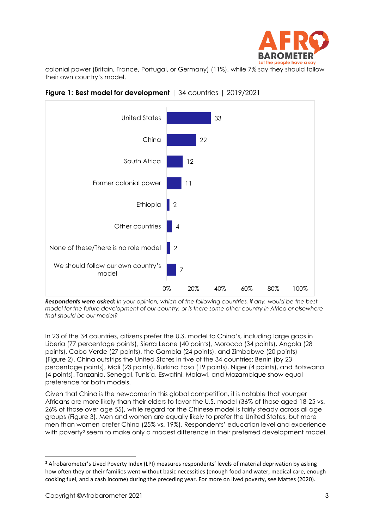

colonial power (Britain, France, Portugal, or Germany) (11%), while 7% say they should follow their own country's model.



**Figure 1: Best model for development** | 34 countries | 2019/2021

*Respondents were asked: In your opinion, which of the following countries, if any, would be the best model for the future development of our country, or is there some other country in Africa or elsewhere that should be our model?*

In 23 of the 34 countries, citizens prefer the U.S. model to China's, including large gaps in Liberia (77 percentage points), Sierra Leone (40 points), Morocco (34 points), Angola (28 points), Cabo Verde (27 points), the Gambia (24 points), and Zimbabwe (20 points) (Figure 2). China outstrips the United States in five of the 34 countries: Benin (by 23 percentage points), Mali (23 points), Burkina Faso (19 points), Niger (4 points), and Botswana (4 points). Tanzania, Senegal, Tunisia, Eswatini, Malawi, and Mozambique show equal preference for both models.

Given that China is the newcomer in this global competition, it is notable that younger Africans are more likely than their elders to favor the U.S. model (36% of those aged 18-25 vs. 26% of those over age 55), while regard for the Chinese model is fairly steady across all age groups (Figure 3). Men and women are equally likely to prefer the United States, but more men than women prefer China (25% vs. 19%). Respondents' education level and experience with poverty<sup>2</sup> seem to make only a modest difference in their preferred development model.

**<sup>2</sup>** Afrobarometer's Lived Poverty Index (LPI) measures respondents' levels of material deprivation by asking how often they or their families went without basic necessities (enough food and water, medical care, enough cooking fuel, and a cash income) during the preceding year. For more on lived poverty, see Mattes (2020).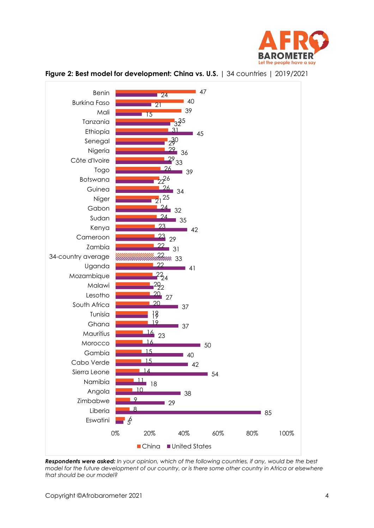



### **Figure 2: Best model for development: China vs. U.S.** | 34 countries | 2019/2021

*Respondents were asked: In your opinion, which of the following countries, if any, would be the best model for the future development of our country, or is there some other country in Africa or elsewhere that should be our model?*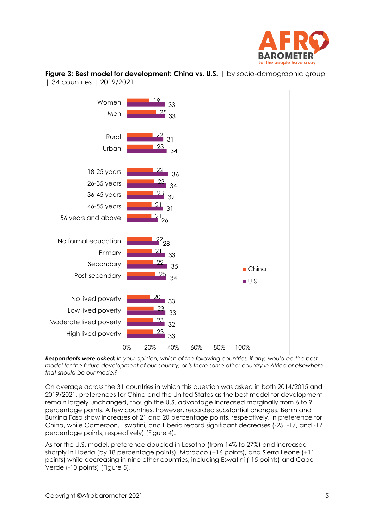



**Figure 3: Best model for development: China vs. U.S.** | by socio-demographic group | 34 countries | 2019/2021

*Respondents were asked: In your opinion, which of the following countries, if any, would be the best model for the future development of our country, or is there some other country in Africa or elsewhere that should be our model?*

On average across the 31 countries in which this question was asked in both 2014/2015 and 2019/2021, preferences for China and the United States as the best model for development remain largely unchanged, though the U.S. advantage increased marginally from 6 to 9 percentage points. A few countries, however, recorded substantial changes. Benin and Burkina Faso show increases of 21 and 20 percentage points, respectively, in preference for China, while Cameroon, Eswatini, and Liberia record significant decreases (-25, -17, and -17 percentage points, respectively) (Figure 4).

As for the U.S. model, preference doubled in Lesotho (from 14% to 27%) and increased sharply in Liberia (by 18 percentage points), Morocco (+16 points), and Sierra Leone (+11 points) while decreasing in nine other countries, including Eswatini (-15 points) and Cabo Verde (-10 points) (Figure 5).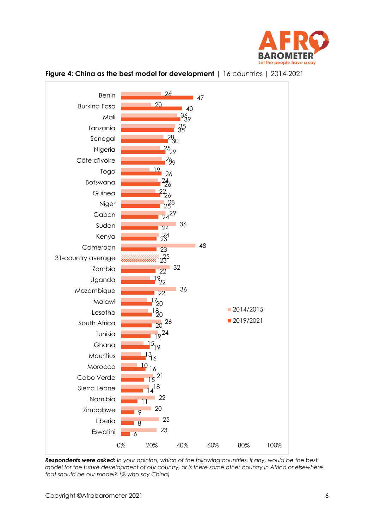



**Figure 4: China as the best model for development** | 16 countries **|** 2014-2021

*Respondents were asked: In your opinion, which of the following countries, if any, would be the best model for the future development of our country, or is there some other country in Africa or elsewhere that should be our model? (% who say China)*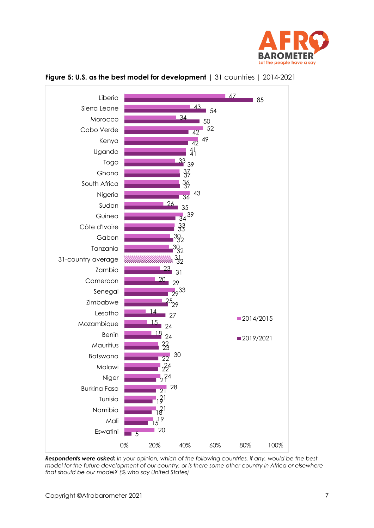



### **Figure 5: U.S. as the best model for development** | 31 countries **|** 2014-2021

*Respondents were asked: In your opinion, which of the following countries, if any, would be the best model for the future development of our country, or is there some other country in Africa or elsewhere that should be our model? (% who say United States)*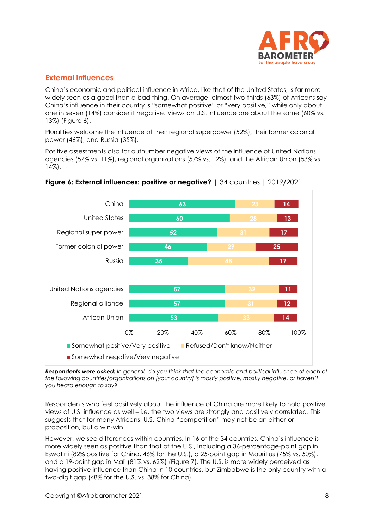

# **External influences**

China's economic and political influence in Africa, like that of the United States, is far more widely seen as a good than a bad thing. On average, almost two-thirds (63%) of Africans say China's influence in their country is "somewhat positive" or "very positive," while only about one in seven (14%) consider it negative. Views on U.S. influence are about the same (60% vs. 13%) (Figure 6).

Pluralities welcome the influence of their regional superpower (52%), their former colonial power (46%), and Russia (35%).

Positive assessments also far outnumber negative views of the influence of United Nations agencies (57% vs. 11%), regional organizations (57% vs. 12%), and the African Union (53% vs. 14%).



## **Figure 6: External influences: positive or negative?** | 34 countries **|** 2019**/**2021

*Respondents were asked: In general, do you think that the economic and political influence of each of the following countries/organizations on [your country] is mostly positive, mostly negative, or haven't you heard enough to say?*

Respondents who feel positively about the influence of China are more likely to hold positive views of U.S. influence as well – i.e. the two views are strongly and positively correlated. This suggests that for many Africans, U.S.-China "competition" may not be an either-or proposition, but a win-win.

However, we see differences within countries. In 16 of the 34 countries, China's influence is more widely seen as positive than that of the U.S., including a 36-percentage-point gap in Eswatini (82% positive for China, 46% for the U.S.), a 25-point gap in Mauritius (75% vs. 50%), and a 19-point gap in Mali (81% vs. 62%) (Figure 7). The U.S. is more widely perceived as having positive influence than China in 10 countries, but Zimbabwe is the only country with a two-digit gap (48% for the U.S. vs. 38% for China).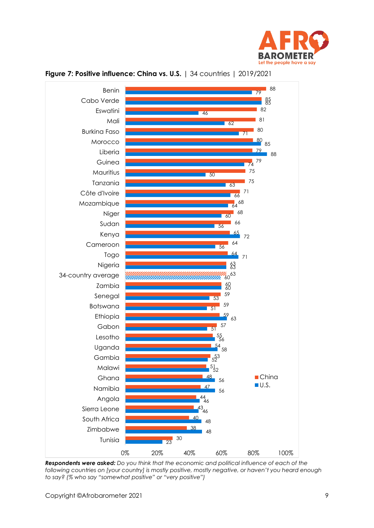



### **Figure 7: Positive influence: China vs. U.S.** | 34 countries | 2019/2021

*Respondents were asked: Do you think that the economic and political influence of each of the following countries on [your country] is mostly positive, mostly negative, or haven't you heard enough to say? (% who say "somewhat positive" or "very positive")*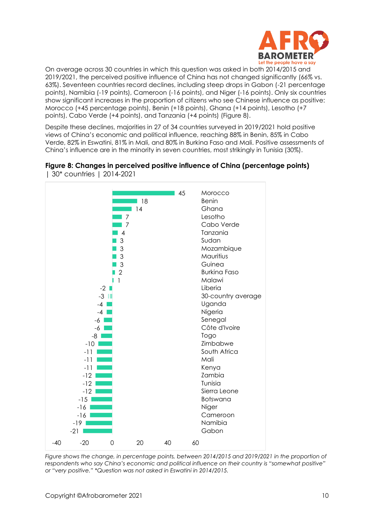

On average across 30 countries in which this question was asked in both 2014/2015 and 2019/2021, the perceived positive influence of China has not changed significantly (66% vs. 63%). Seventeen countries record declines, including steep drops in Gabon (-21 percentage points), Namibia (-19 points), Cameroon (-16 points), and Niger (-16 points). Only six countries show significant increases in the proportion of citizens who see Chinese influence as positive: Morocco (+45 percentage points), Benin (+18 points), Ghana (+14 points), Lesotho (+7 points), Cabo Verde (+4 points), and Tanzania (+4 points) (Figure 8).

Despite these declines, majorities in 27 of 34 countries surveyed in 2019/2021 hold positive views of China's economic and political influence, reaching 88% in Benin, 85% in Cabo Verde, 82% in Eswatini, 81% in Mali, and 80% in Burkina Faso and Mali. Positive assessments of China's influence are in the minority in seven countries, most strikingly in Tunisia (30%).



**Figure 8: Changes in perceived positive influence of China (percentage points)**  | 30\* countries | 2014-2021

*Figure shows the change, in percentage points, between 2014/2015 and 2019/2021 in the proportion of respondents who say China's economic and political influence on their country is "somewhat positive" or "very positive." \*Question was not asked in Eswatini in 2014/2015.*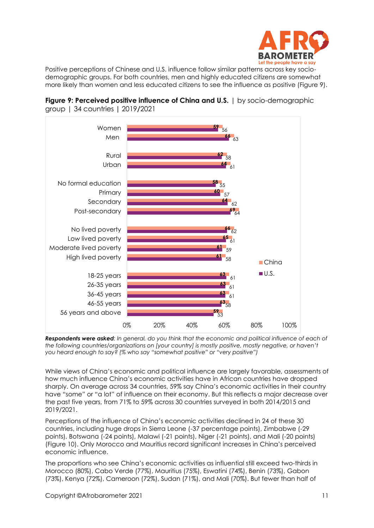

Positive perceptions of Chinese and U.S. influence follow similar patterns across key sociodemographic groups. For both countries, men and highly educated citizens are somewhat more likely than women and less educated citizens to see the influence as positive (Figure 9).





*Respondents were asked: In general, do you think that the economic and political influence of each of the following countries/organizations on [your country] is mostly positive, mostly negative, or haven't you heard enough to say? (% who say "somewhat positive" or "very positive")*

While views of China's economic and political influence are largely favorable, assessments of how much influence China's economic activities have in African countries have dropped sharply. On average across 34 countries, 59% say China's economic activities in their country have "some" or "a lot" of influence on their economy. But this reflects a major decrease over the past five years, from 71% to 59% across 30 countries surveyed in both 2014/2015 and 2019/2021.

Perceptions of the influence of China's economic activities declined in 24 of these 30 countries, including huge drops in Sierra Leone (-37 percentage points), Zimbabwe (-29 points), Botswana (-24 points), Malawi (-21 points), Niger (-21 points), and Mali (-20 points) (Figure 10). Only Morocco and Mauritius record significant increases in China's perceived economic influence.

The proportions who see China's economic activities as influential still exceed two-thirds in Morocco (80%), Cabo Verde (77%), Mauritius (75%), Eswatini (74%), Benin (73%), Gabon (73%), Kenya (72%), Cameroon (72%), Sudan (71%), and Mali (70%). But fewer than half of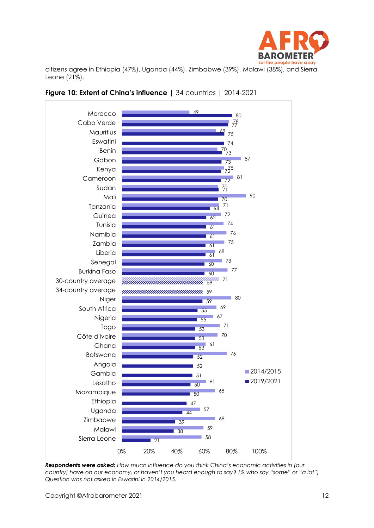

citizens agree in Ethiopia (47%), Uganda (44%), Zimbabwe (39%), Malawi (38%), and Sierra Leone (21%).





*Respondents were asked: How much influence do you think China's economic activities in [our country] have on our economy, or haven't you heard enough to say? (% who say "some" or "a lot") Question was not asked in Eswatini in 2014/2015.*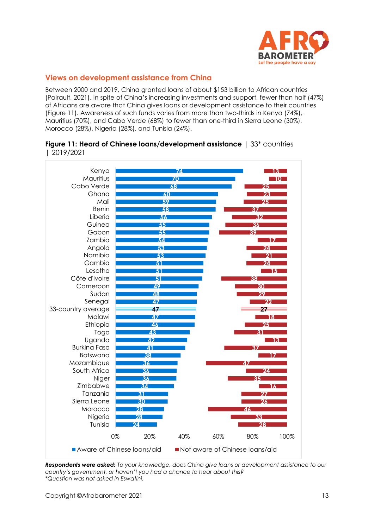

# **Views on development assistance from China**

Between 2000 and 2019, China granted loans of about \$153 billion to African countries (Pairault, 2021). In spite of China's increasing investments and support, fewer than half (47%) of Africans are aware that China gives loans or development assistance to their countries (Figure 11). Awareness of such funds varies from more than two-thirds in Kenya (74%), Mauritius (70%), and Cabo Verde (68%) to fewer than one-third in Sierra Leone (30%), Morocco (28%), Nigeria (28%), and Tunisia (24%).

#### **Figure 11: Heard of Chinese loans/development assistance** | 33<sup>\*</sup> countries | 2019/2021



*Respondents were asked: To your knowledge, does China give loans or development assistance to our country's government, or haven't you had a chance to hear about this? \*Question was not asked in Eswatini.*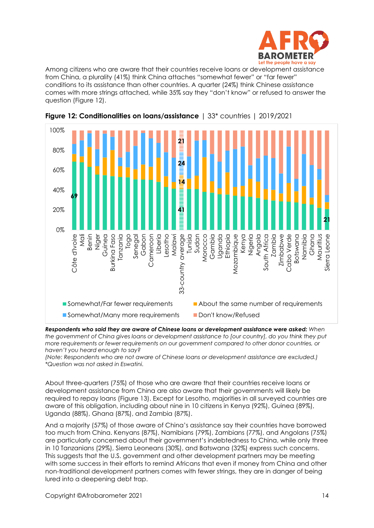

Among citizens who are aware that their countries receive loans or development assistance from China, a plurality (41%) think China attaches "somewhat fewer" or "far fewer" conditions to its assistance than other countries. A quarter (24%) think Chinese assistance comes with more strings attached, while 35% say they "don't know" or refused to answer the question (Figure 12).





*Respondents who said they are aware of Chinese loans or development assistance were asked: When the government of China gives loans or development assistance to [our country], do you think they put more requirements or fewer requirements on our government compared to other donor countries, or haven't you heard enough to say?*

*(Note: Respondents who are not aware of Chinese loans or development assistance are excluded.) \*Question was not asked in Eswatini.*

About three-quarters (75%) of those who are aware that their countries receive loans or development assistance from China are also aware that their governments will likely be required to repay loans (Figure 13). Except for Lesotho, majorities in all surveyed countries are aware of this obligation, including about nine in 10 citizens in Kenya (92%), Guinea (89%), Uganda (88%), Ghana (87%), and Zambia (87%).

And a majority (57%) of those aware of China's assistance say their countries have borrowed too much from China. Kenyans (87%), Namibians (79%), Zambians (77%), and Angolans (75%) are particularly concerned about their government's indebtedness to China, while only three in 10 Tanzanians (29%), Sierra Leoneans (30%), and Batswana (32%) express such concerns. This suggests that the U.S. government and other development partners may be meeting with some success in their efforts to remind Africans that even if money from China and other non-traditional development partners comes with fewer strings, they are in danger of being lured into a deepening debt trap.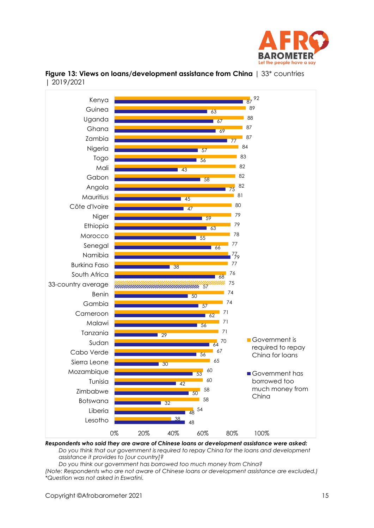



# **Figure 13: Views on loans/development assistance from China** | 33<sup>\*</sup> countries | 2019/2021

*Respondents who said they are aware of Chinese loans or development assistance were asked: Do you think that our government is required to repay China for the loans and development assistance it provides to [our country]?*

*Do you think our government has borrowed too much money from China?*

*(Note: Respondents who are not aware of Chinese loans or development assistance are excluded.) \*Question was not asked in Eswatini.*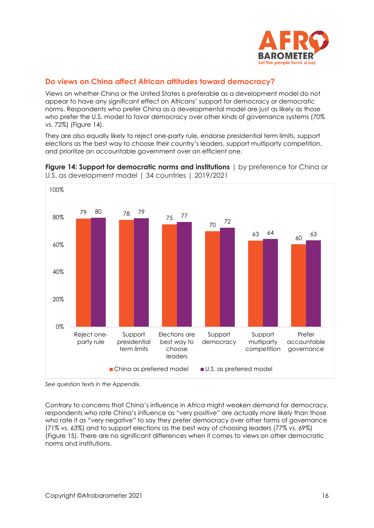

# **Do views on China affect African attitudes toward democracy?**

Views on whether China or the United States is preferable as a development model do not appear to have any significant effect on Africans' support for democracy or democratic norms. Respondents who prefer China as a developmental model are just as likely as those who prefer the U.S. model to favor democracy over other kinds of governance systems (70% vs. 72%) (Figure 14).

They are also equally likely to reject one-party rule, endorse presidential term limits, support elections as the best way to choose their country's leaders, support multiparty competition, and prioritize an accountable government over an efficient one.



**Figure 14: Support for democratic norms and institutions**  $\vert$  by preference for China or U.S. as development model | 34 countries | 2019/2021

Contrary to concerns that China's influence in Africa might weaken demand for democracy, respondents who rate China's influence as "very positive" are actually *more* likely than those who rate it as "very negative" to say they prefer democracy over other forms of governance (71% vs. 63%) and to support elections as the best way of choosing leaders (77% vs. 69%) (Figure 15). There are no significant differences when it comes to views on other democratic norms and institutions.

*See question texts in the Appendix.*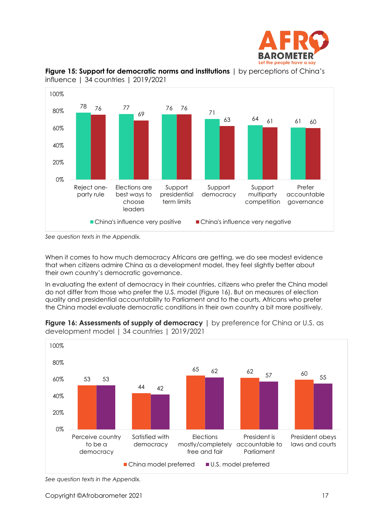



**Figure 15: Support for democratic norms and institutions** | by perceptions of China's influence | 34 countries | 2019/2021

When it comes to how much democracy Africans are getting, we do see modest evidence that when citizens admire China as a development model, they feel slightly better about their own country's democratic governance.

In evaluating the extent of democracy in their countries, citizens who prefer the China model do not differ from those who prefer the U.S. model (Figure 16). But on measures of election quality and presidential accountability to Parliament and to the courts, Africans who prefer the China model evaluate democratic conditions in their own country a bit more positively.



**Figure 16: Assessments of supply of democracy** | by preference for China or U.S. as development model | 34 countries | 2019/2021

*See question texts in the Appendix.*

*See question texts in the Appendix.*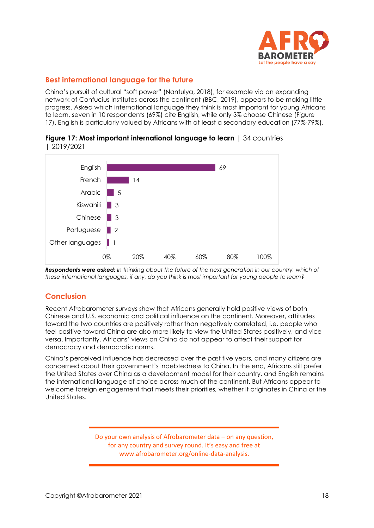

# **Best international language for the future**

China's pursuit of cultural "soft power" (Nantulya, 2018), for example via an expanding network of Confucius Institutes across the continent (BBC, 2019), appears to be making little progress. Asked which international language they think is most important for young Africans to learn, seven in 10 respondents (69%) cite English, while only 3% choose Chinese (Figure 17). English is particularly valued by Africans with at least a secondary education (77%-79%).



### **Figure 17: Most important international language to learn** | 34 countries | 2019/2021

*Respondents were asked: In thinking about the future of the next generation in our country, which of these international languages, if any, do you think is most important for young people to learn?*

# **Conclusion**

Recent Afrobarometer surveys show that Africans generally hold positive views of both Chinese and U.S. economic and political influence on the continent. Moreover, attitudes toward the two countries are positively rather than negatively correlated, i.e. people who feel positive toward China are also more likely to view the United States positively, and vice versa. Importantly, Africans' views on China do not appear to affect their support for democracy and democratic norms.

China's perceived influence has decreased over the past five years, and many citizens are concerned about their government's indebtedness to China. In the end, Africans still prefer the United States over China as a development model for their country, and English remains the international language of choice across much of the continent. But Africans appear to welcome foreign engagement that meets their priorities, whether it originates in China or the United States.

> Do your own analysis of Afrobarometer data – on any question, for any country and survey round. It's easy and free at www.afrobarometer.org/online-data-analysis.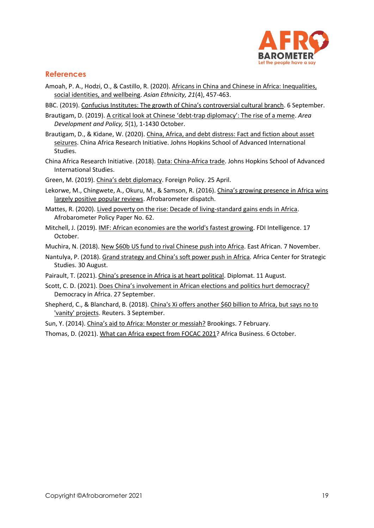

# **References**

- Amoah, P. A., Hodzi, O., & Castillo, R. (2020)[. Africans in China and Chinese in Africa: Inequalities,](https://www.tandfonline.com/doi/full/10.1080/14631369.2020.1784706?utm_campaign=JPG15751&utm_medium=cms&utm_source=CPB&)  [social identities, and wellbeing.](https://www.tandfonline.com/doi/full/10.1080/14631369.2020.1784706?utm_campaign=JPG15751&utm_medium=cms&utm_source=CPB&) *Asian Ethnicity, 21*(4), 457-463.
- BBC. (2019). [Confucius Institutes: The growth of China's controversial cultural branch](https://www.bbc.com/news/world-asia-china-49511231). 6 September.
- Brautigam, D. (2019). A critical look at Chinese 'debt-[trap diplomacy': The rise of a meme](https://www.tandfonline.com/doi/full/10.1080/23792949.2019.1689828?utm_source=twitter&utm_medium=social&utm_campaign=JOL12640&utm_term=ad). *Area Development and Policy, 5*(1), 1-1430 October.
- Brautigam, D., & Kidane, W. (2020). [China, Africa, and debt distress: Fact and fiction about asset](https://static1.squarespace.com/static/5652847de4b033f56d2bdc29/t/5ef387a1b5869d0dd74eee2d/1593018274134/PB+47+-+Brautigam%2C+Kidane+%E2%80%93+Debt+distress%2C+Asset+seizure.pdf)  [seizures.](https://static1.squarespace.com/static/5652847de4b033f56d2bdc29/t/5ef387a1b5869d0dd74eee2d/1593018274134/PB+47+-+Brautigam%2C+Kidane+%E2%80%93+Debt+distress%2C+Asset+seizure.pdf) China Africa Research Initiative. Johns Hopkins School of Advanced International Studies.
- China Africa Research Initiative. (2018). [Data: China-Africa trade.](http://www.sais-cari.org/data-china-africa-trade) Johns Hopkins School of Advanced International Studies.
- Green, M. (2019). China's [debt diplomacy.](https://foreignpolicy.com/2019/04/25/chinas-debt-diplomacy/) Foreign Policy. 25 April.
- Lekorwe, M., Chingwete, A., Okuru, M., & Samson, R. (2016). China's growing presence in Africa wins [largely positive popular reviews.](https://www.afrobarometer.org/publications/ad122-chinas-growing-presence-africa-wins-largely-positive-popular-reviews) Afrobarometer dispatch.
- Mattes, R. (2020)[. Lived poverty on the rise: Decade of living-standard gains ends in Africa.](http://afrobarometer.org/publications/pp62-lived-poverty-rise-decade-living-standard-gains-ends-africa) Afrobarometer Policy Paper No. 62.
- Mitchell, J. (2019). [IMF: African economies are the world's fastest growing.](https://www.fdiintelligence.com/article/75841) FDI Intelligence. 17 October.
- Muchira, N. (2018). [New \\$60b US fund to rival Chinese push into Africa.](https://www.theeastafrican.co.ke/business/New-US-fund-to-rival-Chinese-push-into-Africa/2560-4840700-l6y8e4z/index.html) East African. 7 November.
- Nantulya, P. (2018). [Grand strategy and China's soft power push in Africa](https://africacenter.org/spotlight/grand-strategy-and-chinas-soft-power-push-in-africa/). Africa Center for Strategic Studies. 30 August.
- Pairault, T. (2021). [China's presence in Africa is at heart political](https://thediplomat.com/2021/08/chinas-presence-in-africa-is-at-heart-political/). Diplomat. 11 August.
- Scott, C. D. (2021). [Does China's involvement in African elections and politics hurt democracy?](http://democracyinafrica.org/does-chinas-involvement-in-african-elections-and-politics-hurt-democracy/) Democracy in Africa. 27 September.
- Shepherd, C., & Blanchard, B. (2018)[. China's Xi offers another \\$60 billion to Africa, but says no to](https://www.reuters.com/article/us-china-africa-idUSKCN1LJ0C4)  ['vanity' projects.](https://www.reuters.com/article/us-china-africa-idUSKCN1LJ0C4) Reuters. 3 September.
- Sun, Y. (2014). [China's aid to Africa: Monster or](https://www.brookings.edu/opinions/chinas-aid-to-africa-monster-or-messiah/) messiah? Brookings. 7 February.
- Thomas, D. (2021). [What can Africa expect from FOCAC 2021?](https://african.business/2021/10/trade-investment/what-can-africa-expect-from-focac-2021/) Africa Business. 6 October.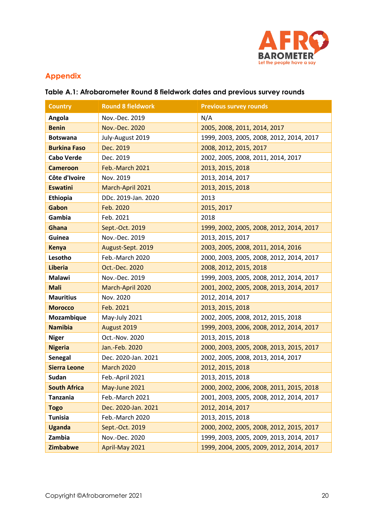

# **Appendix**

# **Table A.1: Afrobarometer Round 8 fieldwork dates and previous survey rounds**

| <b>Country</b>      | <b>Round 8 fieldwork</b> | <b>Previous survey rounds</b>            |
|---------------------|--------------------------|------------------------------------------|
| Angola              | Nov.-Dec. 2019           | N/A                                      |
| <b>Benin</b>        | Nov.-Dec. 2020           | 2005, 2008, 2011, 2014, 2017             |
| <b>Botswana</b>     | July-August 2019         | 1999, 2003, 2005, 2008, 2012, 2014, 2017 |
| <b>Burkina Faso</b> | Dec. 2019                | 2008, 2012, 2015, 2017                   |
| <b>Cabo Verde</b>   | Dec. 2019                | 2002, 2005, 2008, 2011, 2014, 2017       |
| <b>Cameroon</b>     | Feb.-March 2021          | 2013, 2015, 2018                         |
| Côte d'Ivoire       | Nov. 2019                | 2013, 2014, 2017                         |
| <b>Eswatini</b>     | March-April 2021         | 2013, 2015, 2018                         |
| Ethiopia            | DDc. 2019-Jan. 2020      | 2013                                     |
| Gabon               | Feb. 2020                | 2015, 2017                               |
| Gambia              | Feb. 2021                | 2018                                     |
| Ghana               | Sept.-Oct. 2019          | 1999, 2002, 2005, 2008, 2012, 2014, 2017 |
| Guinea              | Nov.-Dec. 2019           | 2013, 2015, 2017                         |
| <b>Kenya</b>        | August-Sept. 2019        | 2003, 2005, 2008, 2011, 2014, 2016       |
| Lesotho             | Feb.-March 2020          | 2000, 2003, 2005, 2008, 2012, 2014, 2017 |
| <b>Liberia</b>      | Oct.-Dec. 2020           | 2008, 2012, 2015, 2018                   |
| Malawi              | Nov.-Dec. 2019           | 1999, 2003, 2005, 2008, 2012, 2014, 2017 |
| <b>Mali</b>         | March-April 2020         | 2001, 2002, 2005, 2008, 2013, 2014, 2017 |
| <b>Mauritius</b>    | Nov. 2020                | 2012, 2014, 2017                         |
| <b>Morocco</b>      | Feb. 2021                | 2013, 2015, 2018                         |
| Mozambique          | May-July 2021            | 2002, 2005, 2008, 2012, 2015, 2018       |
| <b>Namibia</b>      | August 2019              | 1999, 2003, 2006, 2008, 2012, 2014, 2017 |
| <b>Niger</b>        | Oct.-Nov. 2020           | 2013, 2015, 2018                         |
| <b>Nigeria</b>      | Jan.-Feb. 2020           | 2000, 2003, 2005, 2008, 2013, 2015, 2017 |
| <b>Senegal</b>      | Dec. 2020-Jan. 2021      | 2002, 2005, 2008, 2013, 2014, 2017       |
| <b>Sierra Leone</b> | <b>March 2020</b>        | 2012, 2015, 2018                         |
| Sudan               | Feb.-April 2021          | 2013, 2015, 2018                         |
| <b>South Africa</b> | May-June 2021            | 2000, 2002, 2006, 2008, 2011, 2015, 2018 |
| <b>Tanzania</b>     | Feb.-March 2021          | 2001, 2003, 2005, 2008, 2012, 2014, 2017 |
| <b>Togo</b>         | Dec. 2020-Jan. 2021      | 2012, 2014, 2017                         |
| <b>Tunisia</b>      | Feb.-March 2020          | 2013, 2015, 2018                         |
| <b>Uganda</b>       | Sept.-Oct. 2019          | 2000, 2002, 2005, 2008, 2012, 2015, 2017 |
| Zambia              | Nov.-Dec. 2020           | 1999, 2003, 2005, 2009, 2013, 2014, 2017 |
| Zimbabwe            | April-May 2021           | 1999, 2004, 2005, 2009, 2012, 2014, 2017 |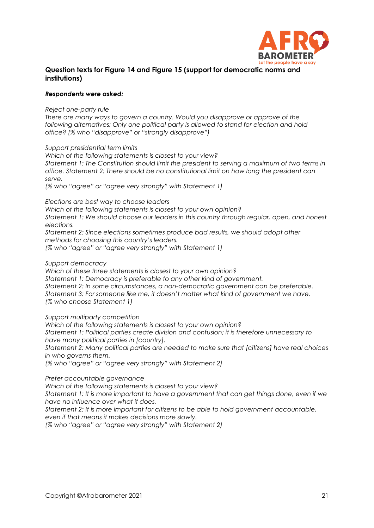

## **Question texts for Figure 14 and Figure 15 (support for democratic norms and institutions)**

#### *Respondents were asked:*

*Reject one-party rule*

*There are many ways to govern a country. Would you disapprove or approve of the following alternatives: Only one political party is allowed to stand for election and hold office? (% who "disapprove" or "strongly disapprove")*

*Support presidential term limits*

*Which of the following statements is closest to your view? Statement 1: The Constitution should limit the president to serving a maximum of two terms in office. Statement 2: There should be no constitutional limit on how long the president can serve.*

*(% who "agree" or "agree very strongly" with Statement 1)*

*Elections are best way to choose leaders*

*Which of the following statements is closest to your own opinion?*

*Statement 1: We should choose our leaders in this country through regular, open, and honest elections.*

*Statement 2: Since elections sometimes produce bad results, we should adopt other methods for choosing this country's leaders.*

*(% who "agree" or "agree very strongly" with Statement 1)*

*Support democracy*

*Which of these three statements is closest to your own opinion?*

*Statement 1: Democracy is preferable to any other kind of government.*

*Statement 2: In some circumstances, a non-democratic government can be preferable. Statement 3: For someone like me, it doesn't matter what kind of government we have. (% who choose Statement 1)*

*Support multiparty competition*

*Which of the following statements is closest to your own opinion?*

*Statement 1: Political parties create division and confusion; it is therefore unnecessary to have many political parties in [country].*

*Statement 2: Many political parties are needed to make sure that [citizens] have real choices in who governs them.*

*(% who "agree" or "agree very strongly" with Statement 2)*

*Prefer accountable governance*

*Which of the following statements is closest to your view?*

*Statement 1: It is more important to have a government that can get things done, even if we have no influence over what it does.*

*Statement 2: It is more important for citizens to be able to hold government accountable,* 

*even if that means it makes decisions more slowly.*

*(% who "agree" or "agree very strongly" with Statement 2)*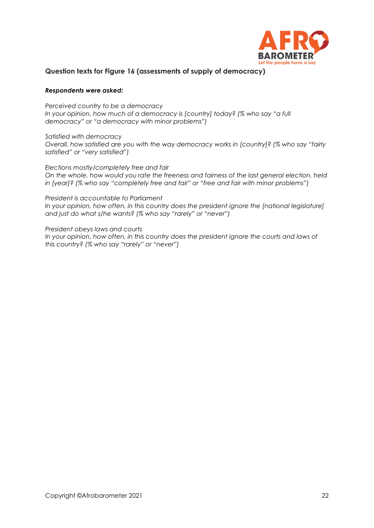

## **Question texts for Figure 16 (assessments of supply of democracy)**

#### *Respondents were asked:*

*Perceived country to be a democracy In your opinion, how much of a democracy is [country] today? (% who say "a full democracy" or "a democracy with minor problems")*

*Satisfied with democracy Overall, how satisfied are you with the way democracy works in [country]? (% who say "fairly satisfied" or "very satisfied")*

*Elections mostly/completely free and fair On the whole, how would you rate the freeness and fairness of the last general election, held in [year]? (% who say "completely free and fair" or "free and fair with minor problems")*

*President is accountable to Parliament In your opinion, how often, in this country does the president ignore the [national legislature] and just do what s/he wants? (% who say "rarely" or "never")*

*President obeys laws and courts*  In your opinion, how often, in this country does the president ignore the courts and laws of *this country? (% who say "rarely" or "never")*